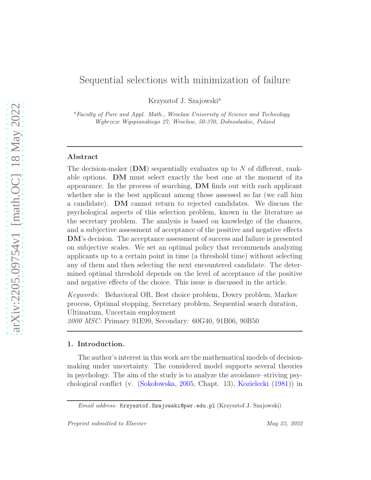# <span id="page-0-1"></span>Sequential selections with minimization of failure

Krzysztof J. Szajowski<sup>a</sup>

<sup>a</sup>*Faculty of Pure and Appl. Math., Wroclaw University of Science and Technology Wybrzeze Wyspianskiego 27, Wroclaw, 50-370, Dolnoslaskie, Poland*

### Abstract

The decision-maker  $(DM)$  sequentially evaluates up to N of different, rankable options. DM must select exactly the best one at the moment of its appearance. In the process of searching, DM finds out with each applicant whether she is the best applicant among those assessed so far (we call him a candidate). DM cannot return to rejected candidates. We discuss the psychological aspects of this selection problem, known in the literature as the secretary problem. The analysis is based on knowledge of the chances, and a subjective assessment of acceptance of the positive and negative effects DM's decision. The acceptance assessment of success and failure is presented on subjective scales. We set an optimal policy that recommends analyzing applicants up to a certain point in time (a threshold time) without selecting any of them and then selecting the next encountered candidate. The determined optimal threshold depends on the level of acceptance of the positive and negative effects of the choice. This issue is discussed in the article.

Keywords: Behavioral OR, Best choice problem, Dowry problem, Markov process, Optimal stopping, Secretary problem, Sequential search duration, Ultimatum, Uncertain employment

2000 MSC: Primary 91E99, Secondary: 60G40, 91B06, 90B50

#### <span id="page-0-0"></span>1. Introduction.

The author's interest in this work are the mathematical models of decisionmaking under uncertainty. The considered model supports several theories in psychology. The aim of the study is to analyze the avoidance–striving psychological conflict (v. (Sokol[owska](#page-24-0), [2005,](#page-24-0) Chapt. 13), [Kozielecki](#page-22-0) [\(1981](#page-22-0))) in

*Email address:* Krzysztof.Szajowski@pwr.edu.pl (Krzysztof J. Szajowski)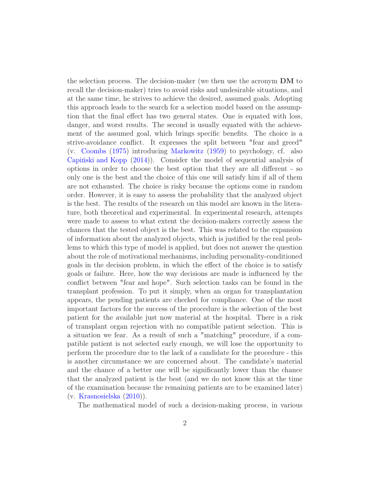<span id="page-1-0"></span>the selection process. The decision-maker (we then use the acronym DM to recall the decision-maker) tries to avoid risks and undesirable situations, and at the same time, he strives to achieve the desired, assumed goals. Adopting this approach leads to the search for a selection model based on the assumption that the final effect has two general states. One is equated with loss, danger, and worst results. The second is usually equated with the achievement of the assumed goal, which brings specific benefits. The choice is a strive-avoidance conflict. It expresses the split between "fear and greed" (v. [Coombs](#page-21-0) [\(1975\)](#page-21-0) introducing [Markowitz](#page-23-0) [\(1959](#page-23-0)) to psychology, cf. also Capinski and Kopp  $(2014)$  $(2014)$ ). Consider the model of sequential analysis of options in order to choose the best option that they are all different - so only one is the best and the choice of this one will satisfy him if all of them are not exhausted. The choice is risky because the options come in random order. However, it is easy to assess the probability that the analyzed object is the best. The results of the research on this model are known in the literature, both theoretical and experimental. In experimental research, attempts were made to assess to what extent the decision-makers correctly assess the chances that the tested object is the best. This was related to the expansion of information about the analyzed objects, which is justified by the real problems to which this type of model is applied, but does not answer the question about the role of motivational mechanisms, including personality-conditioned goals in the decision problem, in which the effect of the choice is to satisfy goals or failure. Here, how the way decisions are made is influenced by the conflict between "fear and hope". Such selection tasks can be found in the transplant profession. To put it simply, when an organ for transplantation appears, the pending patients are checked for compliance. One of the most important factors for the success of the procedure is the selection of the best patient for the available just now material at the hospital. There is a risk of transplant organ rejection with no compatible patient selection. This is a situation we fear. As a result of such a "matching" procedure, if a compatible patient is not selected early enough, we will lose the opportunity to perform the procedure due to the lack of a candidate for the procedure - this is another circumstance we are concerned about. The candidate's material and the chance of a better one will be significantly lower than the chance that the analyzed patient is the best (and we do not know this at the time of the examination because the remaining patients are to be examined later) (v. [Krasnosielska](#page-22-1) [\(2010\)](#page-22-1)).

The mathematical model of such a decision-making process, in various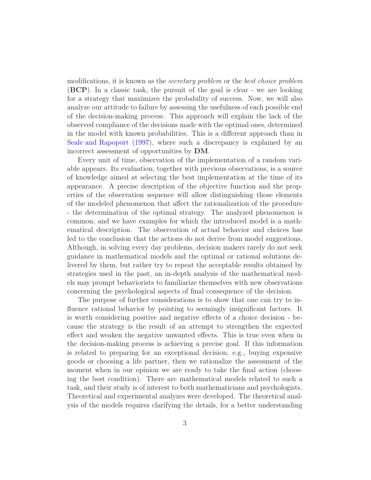<span id="page-2-0"></span>modifications, it is known as the *secretary problem* or the *best choice problem* (BCP). In a classic task, the pursuit of the goal is clear - we are looking for a strategy that maximizes the probability of success. Now, we will also analyze our attitude to failure by assessing the usefulness of each possible end of the decision-making process. This approach will explain the lack of the observed compliance of the decisions made with the optimal ones, determined in the model with known probabilities. This is a different approach than in [Seale and Rapoport](#page-24-1) [\(1997](#page-24-1)), where such a discrepancy is explained by an incorrect assessment of opportunities by DM.

Every unit of time, observation of the implementation of a random variable appears. Its evaluation, together with previous observations, is a source of knowledge aimed at selecting the best implementation at the time of its appearance. A precise description of the objective function and the properties of the observation sequence will allow distinguishing those elements of the modeled phenomenon that affect the rationalization of the procedure - the determination of the optimal strategy. The analyzed phenomenon is common, and we have examples for which the introduced model is a mathematical description. The observation of actual behavior and choices has led to the conclusion that the actions do not derive from model suggestions. Although, in solving every day problems, decision makers rarely do not seek guidance in mathematical models and the optimal or rational solutions delivered by them, but rather try to repeat the acceptable results obtained by strategies used in the past, an in-depth analysis of the mathematical models may prompt behaviorists to familiarize themselves with new observations concerning the psychological aspects of final consequence of the decision.

The purpose of further considerations is to show that one can try to influence rational behavior by pointing to seemingly insignificant factors. It is worth considering positive and negative effects of a choice decision - because the strategy is the result of an attempt to strengthen the expected effect and weaken the negative unwanted effects. This is true even when in the decision-making process is achieving a precise goal. If this information is related to preparing for an exceptional decision, e.g., buying expensive goods or choosing a life partner, then we rationalize the assessment of the moment when in our opinion we are ready to take the final action (choosing the best condition). There are mathematical models related to such a task, and their study is of interest to both mathematicians and psychologists. Theoretical and experimental analyzes were developed. The theoretical analysis of the models requires clarifying the details, for a better understanding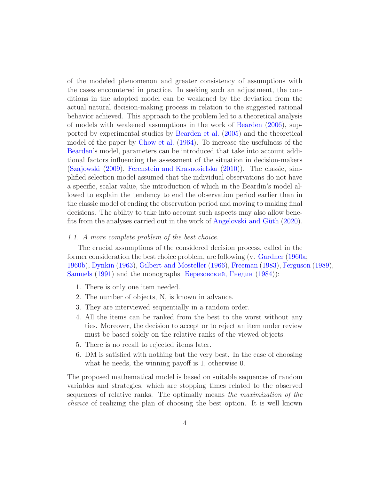<span id="page-3-1"></span>of the modeled phenomenon and greater consistency of assumptions with the cases encountered in practice. In seeking such an adjustment, the conditions in the adopted model can be weakened by the deviation from the actual natural decision-making process in relation to the suggested rational behavior achieved. This approach to the problem led to a theoretical analysis of models with weakened assumptions in the work of [Bearden](#page-20-1) [\(2006](#page-20-1)), supported by experimental studies by [Bearden et al.](#page-20-2) [\(2005\)](#page-20-2) and the theoretical model of the paper by [Chow et al.](#page-20-3) [\(1964\)](#page-20-3). To increase the usefulness of the [Bearden](#page-20-1)'s model, parameters can be introduced that take into account additional factors influencing the assessment of the situation in decision-makers [\(Szajowski](#page-25-0) [\(2009](#page-25-0)), [Ferenstein and Krasnosielska](#page-21-1) [\(2010\)](#page-21-1)). The classic, simplified selection model assumed that the individual observations do not have a specific, scalar value, the introduction of which in the Beardin's model allowed to explain the tendency to end the observation period earlier than in the classic model of ending the observation period and moving to making final decisions. The ability to take into account such aspects may also allow bene-fits from the analyses carried out in the work of Angelovski and Güth [\(2020\)](#page-20-4).

#### <span id="page-3-0"></span>1.1. A more complete problem of the best choice.

The crucial assumptions of the considered decision process, called in the former consideration the best choice problem, are following (v. [Gardner](#page-22-2) [\(1960a;](#page-22-2) [1960b\)](#page-22-3), [Dynkin](#page-21-2) [\(1963\)](#page-21-2), [Gilbert and Mosteller](#page-22-4) [\(1966\)](#page-22-4), [Freeman](#page-22-5) [\(1983](#page-22-5)), [Ferguson](#page-22-6) [\(1989](#page-22-6)), [Samuels](#page-24-2) [\(1991](#page-24-2)) and the monographs [Березовский, Гнедин](#page-20-5) [\(1984\)](#page-20-5)):

- 1. There is only one item needed.
- 2. The number of objects, N, is known in advance.
- 3. They are interviewed sequentially in a random order.
- 4. All the items can be ranked from the best to the worst without any ties. Moreover, the decision to accept or to reject an item under review must be based solely on the relative ranks of the viewed objects.
- 5. There is no recall to rejected items later.
- 6. DM is satisfied with nothing but the very best. In the case of choosing what he needs, the winning payoff is 1, otherwise 0.

The proposed mathematical model is based on suitable sequences of random variables and strategies, which are stopping times related to the observed sequences of relative ranks. The optimally means the maximization of the chance of realizing the plan of choosing the best option. It is well known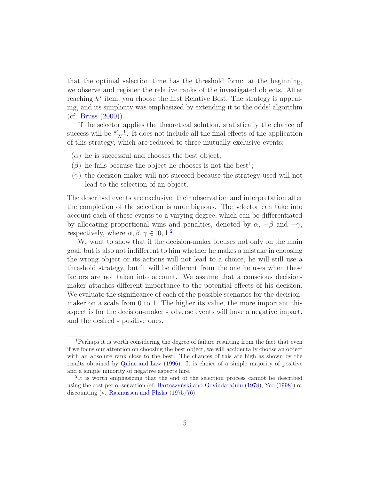<span id="page-4-2"></span>that the optimal selection time has the threshold form: at the beginning, we observe and register the relative ranks of the investigated objects. After reaching  $k^*$  item, you choose the first Relative Best. The strategy is appealing, and its simplicity was emphasized by extending it to the odds' algorithm (cf. [Bruss](#page-20-6)  $(2000)$  $(2000)$ ).

If the selector applies the theoretical solution, statistically the chance of success will be  $\frac{k^* - 1}{N}$  $\frac{x-1}{N}$ . It does not include all the final effects of the application of this strategy, which are reduced to three mutually exclusive events:

- $(\alpha)$  he is successful and chooses the best object;
- $(\beta)$  he fails because the object he chooses is not the best<sup>[1](#page-4-0)</sup>;
- $(\gamma)$  the decision maker will not succeed because the strategy used will not lead to the selection of an object.

The described events are exclusive, their observation and interpretation after the completion of the selection is unambiguous. The selector can take into account each of these events to a varying degree, which can be differentiated by allocating proportional wins and penalties, denoted by  $\alpha$ ,  $-\beta$  and  $-\gamma$ , respectively, where  $\alpha, \beta, \gamma \in [0, 1]^2$  $\alpha, \beta, \gamma \in [0, 1]^2$ .

We want to show that if the decision-maker focuses not only on the main goal, but is also not indifferent to him whether he makes a mistake in choosing the wrong object or its actions will not lead to a choice, he will still use a threshold strategy, but it will be different from the one he uses when these factors are not taken into account. We assume that a conscious decisionmaker attaches different importance to the potential effects of his decision. We evaluate the significance of each of the possible scenarios for the decisionmaker on a scale from 0 to 1. The higher its value, the more important this aspect is for the decision-maker - adverse events will have a negative impact, and the desired - positive ones.

<span id="page-4-0"></span><sup>&</sup>lt;sup>1</sup>Perhaps it is worth considering the degree of failure resulting from the fact that even if we focus our attention on choosing the best object, we will accidentally choose an object with an absolute rank close to the best. The chances of this are high as shown by the results obtained by [Quine and Law](#page-23-1) [\(1996](#page-23-1)). It is choice of a simple majority of positive and a simple minority of negative aspects hire.

<span id="page-4-1"></span><sup>2</sup> It is worth emphasizing that the end of the selection process cannot be described using the cost per observation (cf. Bartoszynı́ski and Govindarajulu [\(1978\)](#page-20-7), [Yeo](#page-25-1) [\(1998\)](#page-25-1)) or discounting (v. [Rasmussen and Pliska](#page-23-2) [\(1975/76\)](#page-23-2).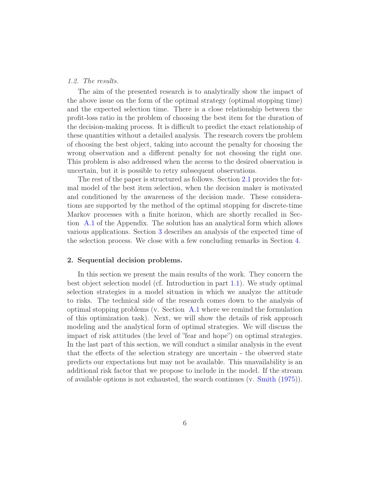# <span id="page-5-0"></span>1.2. The results.

The aim of the presented research is to analytically show the impact of the above issue on the form of the optimal strategy (optimal stopping time) and the expected selection time. There is a close relationship between the profit-loss ratio in the problem of choosing the best item for the duration of the decision-making process. It is difficult to predict the exact relationship of these quantities without a detailed analysis. The research covers the problem of choosing the best object, taking into account the penalty for choosing the wrong observation and a different penalty for not choosing the right one. This problem is also addressed when the access to the desired observation is uncertain, but it is possible to retry subsequent observations.

The rest of the paper is structured as follows. Section [2.1](#page-6-0) provides the formal model of the best item selection, when the decision maker is motivated and conditioned by the awareness of the decision made. These considerations are supported by the method of the optimal stopping for discrete-time Markov processes with a finite horizon, which are shortly recalled in Section [A.1](#page-18-0) of the Appendix. The solution has an analytical form which allows various applications. Section [3](#page-14-0) describes an analysis of the expected time of the selection process. We close with a few concluding remarks in Section [4.](#page-17-0)

#### 2. Sequential decision problems.

In this section we present the main results of the work. They concern the best object selection model (cf. Introduction in part [1.1\)](#page-3-0). We study optimal selection strategies in a model situation in which we analyze the attitude to risks. The technical side of the research comes down to the analysis of optimal stopping problems (v. Section [A.1](#page-18-0) where we remind the formulation of this optimization task). Next, we will show the details of risk approach modeling and the analytical form of optimal strategies. We will discuss the impact of risk attitudes (the level of "fear and hope") on optimal strategies. In the last part of this section, we will conduct a similar analysis in the event that the effects of the selection strategy are uncertain - the observed state predicts our expectations but may not be available. This unavailability is an additional risk factor that we propose to include in the model. If the stream of available options is not exhausted, the search continues (v. [Smith](#page-24-3) [\(1975](#page-24-3))).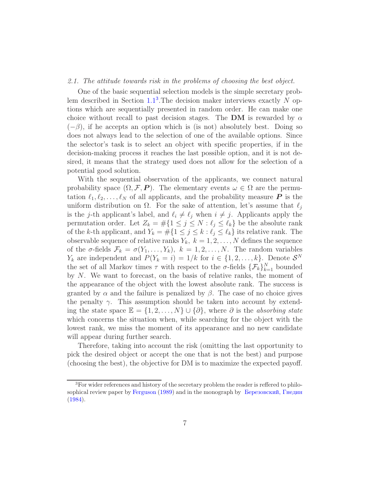#### <span id="page-6-2"></span><span id="page-6-0"></span>2.1. The attitude towards risk in the problems of choosing the best object.

One of the basic sequential selection models is the simple secretary problem described in Section  $1.1<sup>3</sup>$  $1.1<sup>3</sup>$  $1.1<sup>3</sup>$  $1.1<sup>3</sup>$ . The decision maker interviews exactly N options which are sequentially presented in random order. He can make one choice without recall to past decision stages. The DM is rewarded by  $\alpha$  $(-\beta)$ , if he accepts an option which is (is not) absolutely best. Doing so does not always lead to the selection of one of the available options. Since the selector's task is to select an object with specific properties, if in the decision-making process it reaches the last possible option, and it is not desired, it means that the strategy used does not allow for the selection of a potential good solution.

With the sequential observation of the applicants, we connect natural probability space  $(\Omega, \mathcal{F}, P)$ . The elementary events  $\omega \in \Omega$  are the permutation  $\ell_1, \ell_2, \ldots, \ell_N$  of all applicants, and the probability measure **P** is the uniform distribution on  $\Omega$ . For the sake of attention, let's assume that  $\ell_j$ is the j-th applicant's label, and  $\ell_i \neq \ell_j$  when  $i \neq j$ . Applicants apply the permutation order. Let  $Z_k = \#\{1 \leq j \leq N : \ell_j \leq \ell_k\}$  be the absolute rank of the k-th applicant, and  $Y_k = \#\{1 \leq j \leq k : \ell_j \leq \ell_k\}$  its relative rank. The observable sequence of relative ranks  $Y_k$ ,  $k = 1, 2, ..., N$  defines the sequence of the  $\sigma$ -fields  $\mathcal{F}_k = \sigma(Y_1, \ldots, Y_k)$ ,  $k = 1, 2, \ldots, N$ . The random variables  $Y_k$  are independent and  $P(Y_k = i) = 1/k$  for  $i \in \{1, 2, ..., k\}$ . Denote  $S^N$ the set of all Markov times  $\tau$  with respect to the  $\sigma$ -fields  $\{\mathcal{F}_k\}_{k=1}^N$  bounded by N. We want to forecast, on the basis of relative ranks, the moment of the appearance of the object with the lowest absolute rank. The success is granted by  $\alpha$  and the failure is penalized by  $\beta$ . The case of no choice gives the penalty  $\gamma$ . This assumption should be taken into account by extending the state space  $\mathbb{E} = \{1, 2, ..., N\} \cup \{\partial\}$ , where  $\partial$  is the absorbing state which concerns the situation when, while searching for the object with the lowest rank, we miss the moment of its appearance and no new candidate will appear during further search.

Therefore, taking into account the risk (omitting the last opportunity to pick the desired object or accept the one that is not the best) and purpose (choosing the best), the objective for DM is to maximize the expected payoff.

<span id="page-6-1"></span><sup>3</sup>For wider references and history of the secretary problem the reader is reffered to philo-sophical review paper by [Ferguson](#page-22-6) [\(1989](#page-22-6)) and in the monograph by [Березовский, Гнедин](#page-20-5) [\(1984\)](#page-20-5).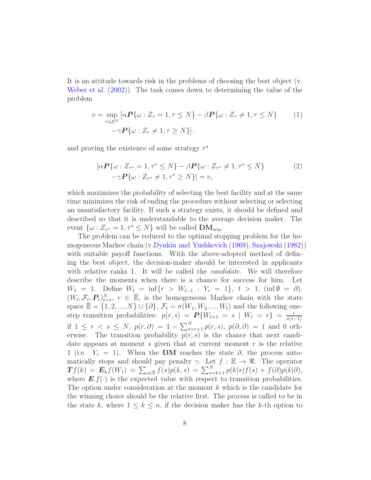<span id="page-7-1"></span>It is an attitude towards risk in the problems of choosing the best object (v. [Weber et al.](#page-25-2) [\(2002\)](#page-25-2)). The task comes down to determining the value of the problem

$$
v = \sup_{\tau \in \mathcal{S}^N} \left[ \alpha \mathbf{P} \{ \omega : Z_{\tau} = 1, \tau \le N \} - \beta \mathbf{P} \{ \omega : Z_{\tau} \neq 1, \tau \le N \} \right] \tag{1}
$$

$$
-\gamma \mathbf{P} \{ \omega : Z_{\tau} \neq 1, \tau \ge N \} \right].
$$

and proving the existence of some strategy  $\tau^*$ 

<span id="page-7-0"></span>
$$
[\alpha \mathbf{P}\{\omega : Z_{\tau^*} = 1, \tau^* \le N\} - \beta \mathbf{P}\{\omega : Z_{\tau^*} \neq 1, \tau^* \le N\} \tag{2}
$$
  

$$
-\gamma \mathbf{P}\{\omega : Z_{\tau^*} \neq 1, \tau^* \ge N\}] = v,
$$

which maximizes the probability of selecting the best facility and at the same time minimizes the risk of ending the procedure without selecting or selecting an unsatisfactory facility. If such a strategy exists, it should be defined and described so that it is understandable to the average decision maker. The event  $\{\omega : Z_{\tau^*} = 1, \tau^* \leq N\}$  will be called  $\mathbf{DM}_{\text{win}}$ .

The problem can be reduced to the optimal stopping problem for the homogeneous Markov chain (v[.Dynkin and Yushkevich](#page-21-3) [\(1969\)](#page-21-3), [Szajowski](#page-25-3) [\(1982\)](#page-25-3)) with suitable payoff functions. With the above-adopted method of defining the best object, the decision-maker should be interested in applicants with relative ranks 1. It will be called the *candidate*. We will therefore describe the moments when there is a chance for success for him. Let  $W_1 = 1.$  Define  $W_t = \inf\{r > W_{t-1} : Y_r = 1\}, t > 1, (\inf \emptyset = \partial).$  $(W_t, \mathcal{F}_t, \mathbf{P}_r)_{t=1}^N$ ,  $r \in \mathbb{E}$ , is the homogeneous Markov chain with the state space  $\mathbb{\bar{E}} = \{1, 2, ..., N\} \cup \{\partial\}, \mathcal{F}_t = \sigma(W_1, W_2, ..., W_t)$  and the following onestep transition probabilities:  $p(r, s) = P\{W_{t+1} = s \mid W_t = r\} = \frac{r}{s(s-1)}$ if 1 ≤  $r < s \le N$ ,  $p(r, \partial) = 1 - \sum_{s=r+1}^{N} p(r, s)$ ,  $p(\partial, \partial) = 1$  and 0 otherwise. The transition probability  $p(r, s)$  is the chance that next candidate appears at moment  $s$  given that at current moment  $r$  is the relative 1 (i.e.  $Y_r = 1$ ). When the DM reaches the state  $\partial$ , the process automatically stops and should pay penalty  $\gamma$ . Let  $f : \mathbb{E} \to \mathbb{R}$ . The operator  $\boldsymbol{T} f(k) \,=\, \boldsymbol{E}_k f(W_1) \,=\, \sum_{s\in \bar{\mathbb{E}}} f(s) p(k,s) \,=\, \sum_{s=k+1}^N p(k|s) f(s) \,+\, f(\partial) p(k|\partial),$ where  $\mathbf{E} f(\cdot)$  is the expected value with respect to transition probabilities. The option under consideration at the moment  $k$  which is the candidate for the winning choice should be the relative first. The process is called to be in the state k, where  $1 \leq k \leq n$ , if the decision maker has the k-th option to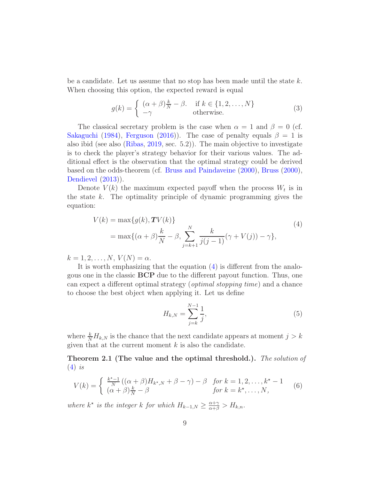<span id="page-8-3"></span>be a candidate. Let us assume that no stop has been made until the state  $k$ . When choosing this option, the expected reward is equal

<span id="page-8-1"></span>
$$
g(k) = \begin{cases} (\alpha + \beta)\frac{k}{N} - \beta. & \text{if } k \in \{1, 2, ..., N\} \\ -\gamma & \text{otherwise.} \end{cases}
$$
(3)

The classical secretary problem is the case when  $\alpha = 1$  and  $\beta = 0$  (cf. [Sakaguchi](#page-24-4) [\(1984\)](#page-24-4), [Ferguson](#page-22-7) [\(2016\)](#page-22-7)). The case of penalty equals  $\beta = 1$  is also ibid (see also [\(Ribas,](#page-23-3) [2019,](#page-23-3) sec. 5.2)). The main objective to investigate is to check the player's strategy behavior for their various values. The additional effect is the observation that the optimal strategy could be derived based on the odds-theorem (cf. [Bruss and Paindaveine](#page-20-8) [\(2000](#page-20-8)), [Bruss](#page-20-6) [\(2000\)](#page-20-6), [Dendievel](#page-21-4)  $(2013)$ ).

Denote  $V(k)$  the maximum expected payoff when the process  $W_t$  is in the state  $k$ . The optimality principle of dynamic programming gives the equation:

$$
V(k) = \max\{g(k), TV(k)\}\
$$
  
=  $\max\{(\alpha + \beta)\frac{k}{N} - \beta, \sum_{j=k+1}^{N} \frac{k}{j(j-1)}(\gamma + V(j)) - \gamma\},$  (4)

 $k = 1, 2, ..., N, V(N) = \alpha.$ 

It is worth emphasizing that the equation [\(4\)](#page-8-0) is different from the analogous one in the classic BCP due to the different payout function. Thus, one can expect a different optimal strategy (optimal stopping time) and a chance to choose the best object when applying it. Let us define

<span id="page-8-2"></span><span id="page-8-0"></span>
$$
H_{k,N} = \sum_{j=k}^{N-1} \frac{1}{j},\tag{5}
$$

where  $\frac{k}{N}H_{k,N}$  is the chance that the next candidate appears at moment  $j > k$ given that at the current moment  $k$  is also the candidate.

Theorem 2.1 (The value and the optimal threshold.). The solution of  $(4)$  is

$$
V(k) = \begin{cases} \frac{k^* - 1}{N} \left( (\alpha + \beta) H_{k^*,N} + \beta - \gamma \right) - \beta & \text{for } k = 1, 2, \dots, k^* - 1\\ (\alpha + \beta) \frac{k}{N} - \beta & \text{for } k = k^*, \dots, N, \end{cases}
$$
(6)

where  $k^*$  is the integer k for which  $H_{k-1,N} \geq \frac{\alpha + \gamma}{\alpha + \beta} > H_{k,n}$ .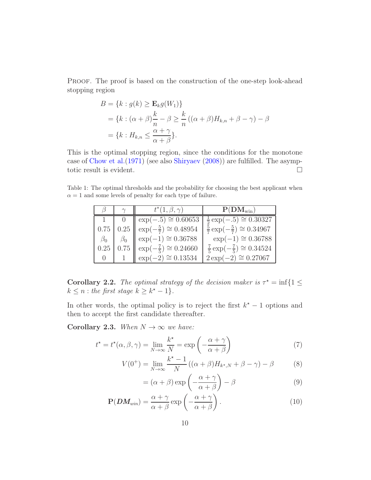<span id="page-9-5"></span>PROOF. The proof is based on the construction of the one-step look-ahead stopping region

$$
B = \{k : g(k) \ge \mathbf{E}_k g(W_1)\}
$$
  
=  $\{k : (\alpha + \beta) \frac{k}{n} - \beta \ge \frac{k}{n} ((\alpha + \beta)H_{k,n} + \beta - \gamma) - \beta$   
=  $\{k : H_{k,n} \le \frac{\alpha + \gamma}{\alpha + \beta}\}.$ 

This is the optimal stopping region, since the conditions for the monotone case of [Chow et al.\(1971](#page-20-9)) (see also [Shiryaev](#page-24-5) [\(2008](#page-24-5))) are fulfilled. The asymptotic result is evident.  $\Box$ 

<span id="page-9-1"></span>Table 1: The optimal thresholds and the probability for choosing the best applicant when  $\alpha = 1$  and some levels of penalty for each type of failure.

| $\beta$      | $t^*(1,\beta,\gamma)$                             | $P(DM_{win})$                                  |
|--------------|---------------------------------------------------|------------------------------------------------|
| $\mathbf{1}$ | 0 $\exp(-.5) \approx 0.60653$                     | $\frac{1}{2}$ exp $(-.5) \cong 0.30327$        |
| 0.75         | $0.25 \parallel \exp(-\frac{5}{7}) \cong 0.48954$ | $\frac{5}{7} \exp(-\frac{5}{7}) \cong 0.34967$ |
| $\beta_0$    | $\beta_0$   exp(-1) $\approx 0.36788$             | $\exp(-1) \cong 0.36788$                       |
| 0.25         | $0.75 \parallel \exp(-\frac{7}{5}) \cong 0.24660$ | $\frac{7}{5} \exp(-\frac{7}{5}) \cong 0.34524$ |
| ()           | $\exp(-2) \cong 0.13534$                          | $2 \exp(-2) \approx 0.27067$                   |

<span id="page-9-3"></span>**Corollary 2.2.** The optimal strategy of the decision maker is  $\tau^* = \inf\{1 \leq \tau\}$  $k \leq n$ : the first stage  $k \geq k^* - 1$ .

In other words, the optimal policy is to reject the first  $k^* - 1$  options and then to accept the first candidate thereafter.

Corollary 2.3. When  $N \to \infty$  we have:

$$
t^* = t^*(\alpha, \beta, \gamma) = \lim_{N \to \infty} \frac{k^*}{N} = \exp\left(-\frac{\alpha + \gamma}{\alpha + \beta}\right)
$$
(7)

$$
V(0^+) = \lim_{N \to \infty} \frac{k^* - 1}{N} \left( (\alpha + \beta) H_{k^*,N} + \beta - \gamma \right) - \beta \tag{8}
$$

<span id="page-9-4"></span><span id="page-9-2"></span><span id="page-9-0"></span>
$$
= (\alpha + \beta) \exp\left(-\frac{\alpha + \gamma}{\alpha + \beta}\right) - \beta \tag{9}
$$

$$
\mathbf{P}(DM_{win}) = \frac{\alpha + \gamma}{\alpha + \beta} \exp\left(-\frac{\alpha + \gamma}{\alpha + \beta}\right). \tag{10}
$$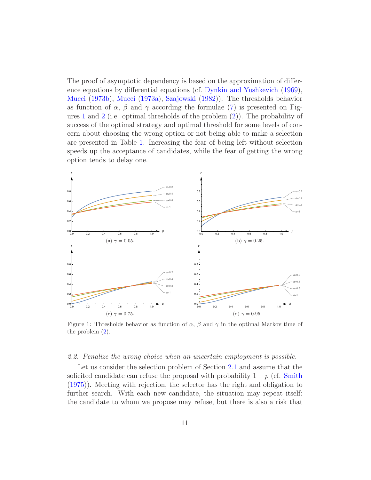<span id="page-10-2"></span>The proof of asymptotic dependency is based on the approximation of difference equations by differential equations (cf. [Dynkin and Yushkevich](#page-21-3) [\(1969\)](#page-21-3), [Mucci](#page-23-4) [\(1973b\)](#page-23-4), [Mucci](#page-23-5) [\(1973a\)](#page-23-5), [Szajowski](#page-25-3) [\(1982\)](#page-25-3)). The thresholds behavior as function of  $\alpha$ ,  $\beta$  and  $\gamma$  according the formulae [\(7\)](#page-9-0) is presented on Figures [1](#page-10-0) and [2](#page-12-0) (i.e. optimal thresholds of the problem [\(2\)](#page-7-0)). The probability of success of the optimal strategy and optimal threshold for some levels of concern about choosing the wrong option or not being able to make a selection are presented in Table [1.](#page-9-1) Increasing the fear of being left without selection speeds up the acceptance of candidates, while the fear of getting the wrong option tends to delay one.

<span id="page-10-0"></span>

Figure 1: Thresholds behavior as function of  $\alpha$ ,  $\beta$  and  $\gamma$  in the optimal Markov time of the problem [\(2\)](#page-7-0).

#### <span id="page-10-1"></span>2.2. Penalize the wrong choice when an uncertain employment is possible.

Let us consider the selection problem of Section [2.1](#page-6-0) and assume that the solicited candidate can refuse the proposal with probability  $1 - p$  (cf. [Smith](#page-24-3) [\(1975\)](#page-24-3)). Meeting with rejection, the selector has the right and obligation to further search. With each new candidate, the situation may repeat itself: the candidate to whom we propose may refuse, but there is also a risk that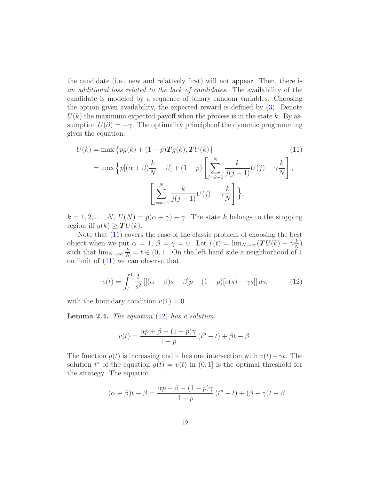the candidate (i.e., new and relatively first) will not appear. Then, there is an additional loss related to the lack of candidates. The availability of the candidate is modeled by a sequence of binary random variables. Choosing the option given availability, the expected reward is defined by [\(3\)](#page-8-1). Denote  $U(k)$  the maximum expected payoff when the process is in the state k. By assumption  $U(\partial) = -\gamma$ . The optimality principle of the dynamic programming gives the equation:

<span id="page-11-0"></span>
$$
U(k) = \max \{ pg(k) + (1 - p)Tg(k), TU(k) \}
$$
\n
$$
= \max \{ p[(\alpha + \beta)\frac{k}{N} - \beta] + (1 - p) \left[ \sum_{j=k+1}^{N} \frac{k}{j(j-1)} U(j) - \gamma \frac{k}{N} \right],
$$
\n
$$
\left[ \sum_{j=k+1}^{N} \frac{k}{j(j-1)} U(j) - \gamma \frac{k}{N} \right] \},
$$
\n(11)

 $k = 1, 2, \ldots, N$ ,  $U(N) = p(\alpha + \gamma) - \gamma$ . The state k belongs to the stopping region iff  $g(k) \geq TU(k)$ .

Note that [\(11\)](#page-11-0) covers the case of the classic problem of choosing the best object when we put  $\alpha = 1, \beta = \gamma = 0$ . Let  $v(t) = \lim_{N \to \infty} (TU(k) + \gamma \frac{k}{N})$  $\frac{k}{N}$ such that  $\lim_{N\to\infty}\frac{k}{N}=t\in(0,1].$  On the left hand side a neighborhood of 1 on limit of  $(11)$  we can observe that

<span id="page-11-1"></span>
$$
v(t) = \int_{t}^{1} \frac{t}{s^2} \left[ [(\alpha + \beta)s - \beta] p + (1 - p) [v(s) - \gamma s] \right] ds, \tag{12}
$$

with the boundary condition  $v(1) = 0$ .

**Lemma 2.4.** The equation  $(12)$  has a solution

$$
v(t) = \frac{\alpha p + \beta - (1 - p)\gamma}{1 - p} (t^p - t) + \beta t - \beta.
$$

The function  $g(t)$  is increasing and it has one intersection with  $v(t) - \gamma t$ . The solution  $t^*$  of the equation  $g(t) = v(t)$  in  $(0, 1]$  is the optimal threshold for the strategy. The equation

$$
(\alpha + \beta)t - \beta = \frac{\alpha p + \beta - (1 - p)\gamma}{1 - p} (t^p - t) + (\beta - \gamma)t - \beta
$$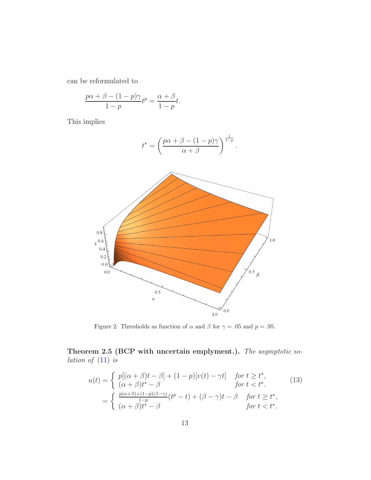can be reformulated to

$$
\frac{p\alpha + \beta - (1 - p)\gamma}{1 - p}t^p = \frac{\alpha + \beta}{1 - p}t.
$$

This implies

$$
t^* = \left(\frac{p\alpha + \beta - (1-p)\gamma}{\alpha + \beta}\right)^{\frac{1}{1-p}}.
$$

<span id="page-12-1"></span><span id="page-12-0"></span>

Figure 2: Thresholds as function of  $\alpha$  and  $\beta$  for  $\gamma = .05$  and  $p = .95$ .

# Theorem 2.5 (BCP with uncertain emplyment.). The asymptotic solution of  $(11)$  is

$$
u(t) = \begin{cases} p[(\alpha + \beta)t - \beta] + (1 - p)[v(t) - \gamma t] & \text{for } t \ge t^*, \\ (\alpha + \beta)t^* - \beta & \text{for } t < t^*. \end{cases}
$$
(13)  
= 
$$
\begin{cases} \frac{p(\alpha + \beta) + (1 - p)(\beta - \gamma)}{1 - p}(t^p - t) + (\beta - \gamma)t - \beta & \text{for } t \ge t^*, \\ (\alpha + \beta)t^* - \beta & \text{for } t < t^*. \end{cases}
$$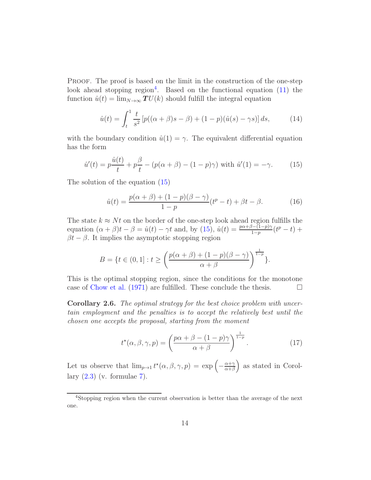<span id="page-13-5"></span>PROOF. The proof is based on the limit in the construction of the one-step look ahead stopping region<sup>[4](#page-13-0)</sup>. Based on the functional equation  $(11)$  the function  $\hat{u}(t) = \lim_{N \to \infty} \mathcal{T}U(k)$  should fulfill the integral equation

$$
\hat{u}(t) = \int_{t}^{1} \frac{t}{s^2} \left[ p((\alpha + \beta)s - \beta) + (1 - p)(\hat{u}(s) - \gamma s) \right] ds, \tag{14}
$$

with the boundary condition  $\hat{u}(1) = \gamma$ . The equivalent differential equation has the form

<span id="page-13-1"></span>
$$
\hat{u}'(t) = p\frac{\hat{u}(t)}{t} + p\frac{\beta}{t} - (p(\alpha + \beta) - (1 - p)\gamma) \text{ with } \hat{u}'(1) = -\gamma. \tag{15}
$$

The solution of the equation [\(15\)](#page-13-1)

$$
\hat{u}(t) = \frac{p(\alpha + \beta) + (1 - p)(\beta - \gamma)}{1 - p}(t^p - t) + \beta t - \beta.
$$
 (16)

The state  $k \approx Nt$  on the border of the one-step look ahead region fulfills the equation  $(\alpha + \beta)t - \beta = \hat{u}(t) - \gamma t$  and, by  $(15)$ ,  $\hat{u}(t) = \frac{p\alpha + \beta - (1-p)\gamma}{1-p}(t^p - t) +$  $\beta t - \beta$ . It implies the asymptotic stopping region

$$
B = \{t \in (0,1] : t \ge \left(\frac{p(\alpha+\beta)+(1-p)(\beta-\gamma)}{\alpha+\beta}\right)^{\frac{1}{1-p}}\}.
$$

This is the optimal stopping region, since the conditions for the monotone case of [Chow et al.](#page-20-9) [\(1971\)](#page-20-9) are fulfilled. These conclude the thesis.  $\Box$ 

<span id="page-13-3"></span>Corollary 2.6. The optimal strategy for the best choice problem with uncertain employment and the penalties is to accept the relatively best until the chosen one accepts the proposal, starting from the moment

<span id="page-13-4"></span><span id="page-13-2"></span>
$$
t^{\star}(\alpha,\beta,\gamma,p) = \left(\frac{p\alpha+\beta-(1-p)\gamma}{\alpha+\beta}\right)^{\frac{1}{1-p}}.\tag{17}
$$

Let us observe that  $\lim_{p\to 1} t^*(\alpha, \beta, \gamma, p) = \exp\left(-\frac{\alpha+\gamma}{\alpha+\beta}\right)$  $\frac{\alpha+\gamma}{\alpha+\beta}$  as stated in Corollary  $(2.3)$  (v. formulae [7\)](#page-9-0).

<span id="page-13-0"></span><sup>4</sup>Stopping region when the current observation is better than the average of the next one.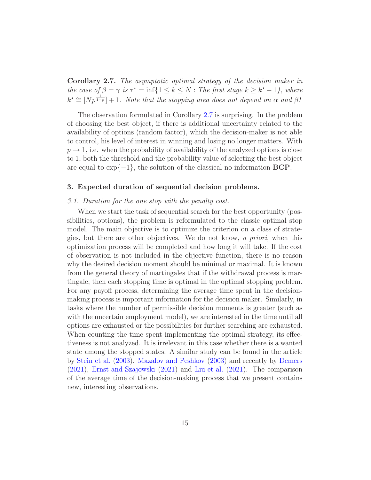<span id="page-14-1"></span>Corollary 2.7. The asymptotic optimal strategy of the decision maker in the case of  $\beta = \gamma$  is  $\tau^* = \inf\{1 \leq k \leq N : \text{The first stage } k \geq k^* - 1\}$ , where  $k^* \cong [Np^{\frac{1}{1-p}}]+1$ . Note that the stopping area does not depend on  $\alpha$  and  $\beta$ !

The observation formulated in Corollary [2.7](#page-13-2) is surprising. In the problem of choosing the best object, if there is additional uncertainty related to the availability of options (random factor), which the decision-maker is not able to control, his level of interest in winning and losing no longer matters. With  $p \rightarrow 1$ , i.e. when the probability of availability of the analyzed options is close to 1, both the threshold and the probability value of selecting the best object are equal to  $\exp\{-1\}$ , the solution of the classical no-information **BCP**.

# <span id="page-14-0"></span>3. Expected duration of sequential decision problems.

# 3.1. Duration for the one stop with the penalty cost.

When we start the task of sequential search for the best opportunity (possibilities, options), the problem is reformulated to the classic optimal stop model. The main objective is to optimize the criterion on a class of strategies, but there are other objectives. We do not know, a priori, when this optimization process will be completed and how long it will take. If the cost of observation is not included in the objective function, there is no reason why the desired decision moment should be minimal or maximal. It is known from the general theory of martingales that if the withdrawal process is martingale, then each stopping time is optimal in the optimal stopping problem. For any payoff process, determining the average time spent in the decisionmaking process is important information for the decision maker. Similarly, in tasks where the number of permissible decision moments is greater (such as with the uncertain employment model), we are interested in the time until all options are exhausted or the possibilities for further searching are exhausted. When counting the time spent implementing the optimal strategy, its effectiveness is not analyzed. It is irrelevant in this case whether there is a wanted state among the stopped states. A similar study can be found in the article by [Stein et al.](#page-24-6) [\(2003\)](#page-24-6). [Mazalov and Peshkov](#page-23-6) [\(2003](#page-23-6)) and recently by [Demers](#page-21-5) [\(2021\)](#page-21-5), [Ernst and Szajowski](#page-21-6) [\(2021\)](#page-21-6) and [Liu et al.](#page-22-8) [\(2021](#page-22-8)). The comparison of the average time of the decision-making process that we present contains new, interesting observations.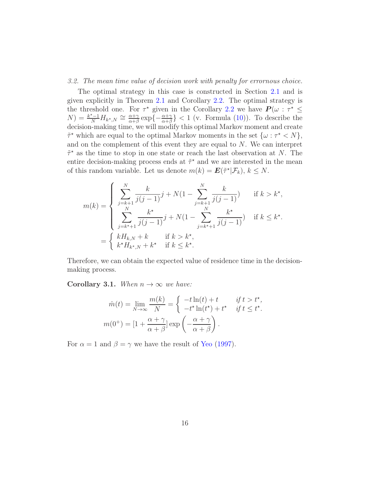#### <span id="page-15-1"></span><span id="page-15-0"></span>3.2. The mean time value of decision work with penalty for errornous choice.

The optimal strategy in this case is constructed in Section [2.1](#page-6-0) and is given explicitly in Theorem [2.1](#page-8-2) and Corollary [2.2.](#page-9-3) The optimal strategy is the threshold one. For  $\tau^*$  given in the Corollary [2.2](#page-9-3) we have  $P(\omega : \tau^* \leq$  $N$ ) =  $\frac{k^* - 1}{N} H_{k^*,N} \cong \frac{\alpha + \gamma}{\alpha + \beta}$  $\frac{\alpha+\gamma}{\alpha+\beta}$ exp $\{-\frac{\alpha+\gamma}{\alpha+\beta}\}$  < 1 (v. Formula [\(10\)](#page-9-4)). To describe the decision-making time, we will modify this optimal Markov moment and create  $\tilde{\tau}^*$  which are equal to the optimal Markov moments in the set  $\{\omega : \tau^* \leq N\},\$ and on the complement of this event they are equal to N. We can interpret  $\tilde{\tau}^*$  as the time to stop in one state or reach the last observation at N. The entire decision-making process ends at  $\tilde{\tau}^*$  and we are interested in the mean of this random variable. Let us denote  $m(k) = \mathbf{E}(\tilde{\tau}^*|\mathcal{F}_k), k \leq N$ .

$$
m(k) = \begin{cases} \sum_{j=k+1}^{N} \frac{k}{j(j-1)} j + N(1 - \sum_{j=k+1}^{N} \frac{k}{j(j-1)}) & \text{if } k > k^{\star}, \\ \sum_{j=k^{\star}+1}^{N} \frac{k^{\star}}{j(j-1)} j + N(1 - \sum_{j=k^{\star}+1}^{N} \frac{k^{\star}}{j(j-1)}) & \text{if } k \leq k^{\star}. \end{cases}
$$

$$
= \begin{cases} kH_{k,N} + k & \text{if } k > k^{\star}, \\ k^{\star}H_{k^{\star},N} + k^{\star} & \text{if } k \leq k^{\star}. \end{cases}
$$

Therefore, we can obtain the expected value of residence time in the decisionmaking process.

Corollary 3.1. When  $n \to \infty$  we have:

$$
\hat{m}(t) = \lim_{N \to \infty} \frac{m(k)}{N} = \begin{cases}\n-t\ln(t) + t & \text{if } t > t^*, \\
-t^* \ln(t^*) + t^* & \text{if } t \le t^*.\n\end{cases}
$$
\n
$$
m(0^+) = [1 + \frac{\alpha + \gamma}{\alpha + \beta}] \exp\left(-\frac{\alpha + \gamma}{\alpha + \beta}\right).
$$

For  $\alpha = 1$  and  $\beta = \gamma$  we have the result of [Yeo](#page-25-4) [\(1997](#page-25-4)).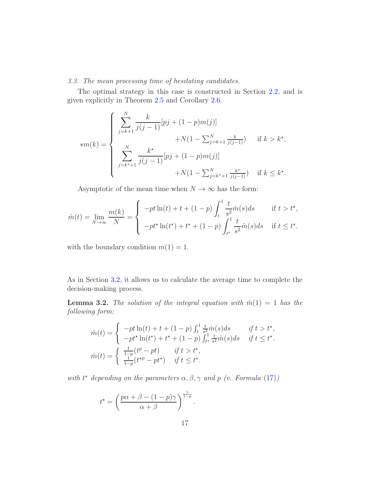# 3.3. The mean processing time of hesitating candidates.

The optimal strategy in this case is constructed in Section [2.2,](#page-10-1) and is given explicitly in Theorem [2.5](#page-12-1) and Corollary [2.6.](#page-13-3)

$$
*m(k) = \begin{cases} \sum_{j=k+1}^{N} \frac{k}{j(j-1)} [pj + (1-p)m(j)] \\ +N(1 - \sum_{j=k+1}^{N} \frac{k}{j(j-1)}) & \text{if } k > k^{\star}, \\ \sum_{j=k^{\star}+1}^{N} \frac{k^{\star}}{j(j-1)} [pj + (1-p)m(j)] \\ +N(1 - \sum_{j=k^{\star}+1}^{N} \frac{k^{\star}}{j(j-1)}) & \text{if } k \leq k^{\star}. \end{cases}
$$

Asymptotic of the mean time when  $N \to \infty$  has the form:

$$
\hat{m}(t) = \lim_{N \to \infty} \frac{m(k)}{N} = \begin{cases}\n-pt\ln(t) + t + (1 - p) \int_t^1 \frac{t}{s^2} \hat{m}(s) ds & \text{if } t > t^*, \\
-pt^* \ln(t^*) + t^* + (1 - p) \int_{t^*}^1 \frac{t}{s^2} \hat{m}(s) ds & \text{if } t \le t^*.\n\end{cases}
$$

with the boundary condition  $m(1) = 1$ .

As in Section [3.2,](#page-15-0) it allows us to calculate the average time to complete the decision-making process.

**Lemma 3.2.** The solution of the integral equation with  $\hat{m}(1) = 1$  has the following form:

$$
\hat{m}(t) = \begin{cases}\n-pt\ln(t) + t + (1 - p) \int_t^1 \frac{t}{s^2} \hat{m}(s) ds & \text{if } t > t^*, \\
-pt^* \ln(t^*) + t^* + (1 - p) \int_{t^*}^1 \frac{t}{s^2} \hat{m}(s) ds & \text{if } t \le t^*.\n\end{cases}
$$
\n
$$
\hat{m}(t) = \begin{cases}\n\frac{1}{1-p}(t^p - pt) & \text{if } t > t^*, \\
\frac{1}{1-p}(t^{*p} - pt^*) & \text{if } t \le t^*. \n\end{cases}
$$

with  $t^*$  depending on the parameters  $\alpha, \beta, \gamma$  and p (v. Formula [\(17\)](#page-13-4))

$$
t^* = \left(\frac{p\alpha + \beta - (1 - p)\gamma}{\alpha + \beta}\right)^{\frac{1}{1 - p}}.
$$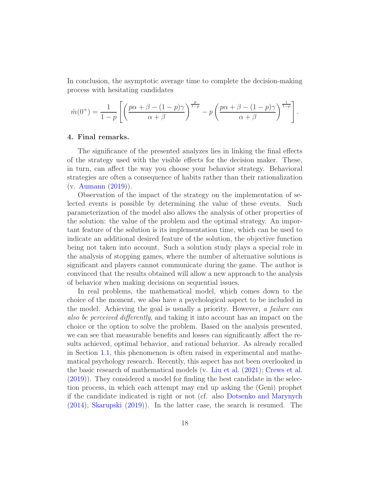<span id="page-17-1"></span>In conclusion, the asymptotic average time to complete the decision-making process with hesitating candidates

$$
\hat{m}(0^+) = \frac{1}{1-p} \left[ \left( \frac{p\alpha + \beta - (1-p)\gamma}{\alpha + \beta} \right)^{\frac{p}{1-p}} - p \left( \frac{p\alpha + \beta - (1-p)\gamma}{\alpha + \beta} \right)^{\frac{1}{1-p}} \right].
$$

#### <span id="page-17-0"></span>4. Final remarks.

The significance of the presented analyzes lies in linking the final effects of the strategy used with the visible effects for the decision maker. These, in turn, can affect the way you choose your behavior strategy. Behavioral strategies are often a consequence of habits rather than their rationalization (v. [Aumann](#page-20-10) [\(2019\)](#page-20-10)).

Observation of the impact of the strategy on the implementation of selected events is possible by determining the value of these events. Such parameterization of the model also allows the analysis of other properties of the solution: the value of the problem and the optimal strategy. An important feature of the solution is its implementation time, which can be used to indicate an additional desired feature of the solution, the objective function being not taken into account. Such a solution study plays a special role in the analysis of stopping games, where the number of alternative solutions is significant and players cannot communicate during the game. The author is convinced that the results obtained will allow a new approach to the analysis of behavior when making decisions on sequential issues.

In real problems, the mathematical model, which comes down to the choice of the moment, we also have a psychological aspect to be included in the model. Achieving the goal is usually a priority. However, a failure can also be perceived differently, and taking it into account has an impact on the choice or the option to solve the problem. Based on the analysis presented, we can see that measurable benefits and losses can significantly affect the results achieved, optimal behavior, and rational behavior. As already recalled in Section [1.1,](#page-3-0) this phenomenon is often raised in experimental and mathematical psychology research. Recently, this aspect has not been overlooked in the basic research of mathematical models (v. [Liu et al.](#page-22-8) [\(2021\)](#page-22-8); [Crews et al.](#page-21-7) [\(2019\)](#page-21-7)). They considered a model for finding the best candidate in the selection process, in which each attempt may end up asking the (Geni) prophet if the candidate indicated is right or not (cf. also [Dotsenko and Marynych](#page-21-8) [\(2014\)](#page-21-8); [Skarupski](#page-24-7) [\(2019](#page-24-7))). In the latter case, the search is resumed. The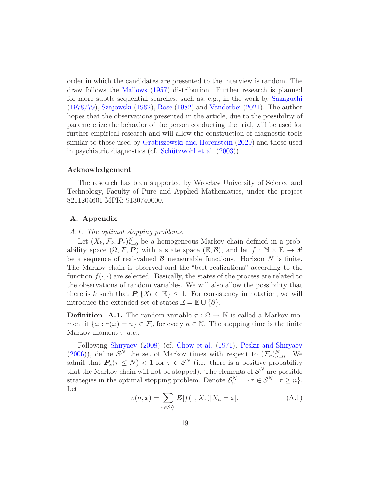<span id="page-18-2"></span>order in which the candidates are presented to the interview is random. The draw follows the [Mallows](#page-23-7) [\(1957\)](#page-23-7) distribution. Further research is planned for more subtle sequential searches, such as, e.g., in the work by [Sakaguchi](#page-23-8) [\(1978/79\)](#page-23-8), [Szajowski](#page-25-3) [\(1982\)](#page-25-3), [Rose](#page-23-9) [\(1982\)](#page-23-9) and [Vanderbei](#page-25-5) [\(2021](#page-25-5)). The author hopes that the observations presented in the article, due to the possibility of parameterize the behavior of the person conducting the trial, will be used for further empirical research and will allow the construction of diagnostic tools similar to those used by [Grabiszewski and Horenstein](#page-22-9) [\(2020\)](#page-22-9) and those used in psychiatric diagnostics (cf. Schützwohl et al.  $(2003)$  $(2003)$ )

## Acknowledgement

The research has been supported by Wrocław University of Science and Technology, Faculty of Pure and Applied Mathematics, under the project 8211204601 MPK: 9130740000.

# <span id="page-18-0"></span>A. Appendix

### A.1. The optimal stopping problems.

Let  $(X_k, \mathcal{F}_k, \mathbf{P}_x)_{k=0}^N$  be a homogeneous Markov chain defined in a probability space  $(\Omega, \mathcal{F}, P)$  with a state space  $(\mathbb{E}, \mathcal{B})$ , and let  $f : \mathbb{N} \times \mathbb{E} \to \mathbb{R}$ be a sequence of real-valued  $\beta$  measurable functions. Horizon N is finite. The Markov chain is observed and the "best realizations" according to the function  $f(\cdot, \cdot)$  are selected. Basically, the states of the process are related to the observations of random variables. We will also allow the possibility that there is k such that  $P_x\{X_k \in \mathbb{E}\}\leq 1$ . For consistency in notation, we will introduce the extended set of states  $\mathbb{E} = \mathbb{E} \cup \{ \partial \}.$ 

**Definition** A.1. The random variable  $\tau : \Omega \to \mathbb{N}$  is called a Markov moment if  $\{\omega : \tau(\omega) = n\} \in \mathcal{F}_n$  for every  $n \in \mathbb{N}$ . The stopping time is the finite Markov moment  $\tau$  *a.e.*.

Following [Shiryaev](#page-24-5) [\(2008\)](#page-24-5) (cf. [Chow et al.](#page-20-9) [\(1971\)](#page-20-9), [Peskir and Shiryaev](#page-23-10) [\(2006\)](#page-23-10)), define  $S^N$  the set of Markov times with respect to  $(\mathcal{F}_n)_{n=0}^N$ . We admit that  $P_x(\tau \leq N) < 1$  for  $\tau \in \mathcal{S}^N$  (i.e. there is a positive probability that the Markov chain will not be stopped). The elements of  $S<sup>N</sup>$  are possible strategies in the optimal stopping problem. Denote  $S_n^N = \{ \tau \in S^N : \tau \geq n \}.$ Let

<span id="page-18-1"></span>
$$
v(n,x) = \sum_{\tau \in \mathcal{S}_n^N} \mathbf{E}[f(\tau, X_\tau) | X_n = x]. \tag{A.1}
$$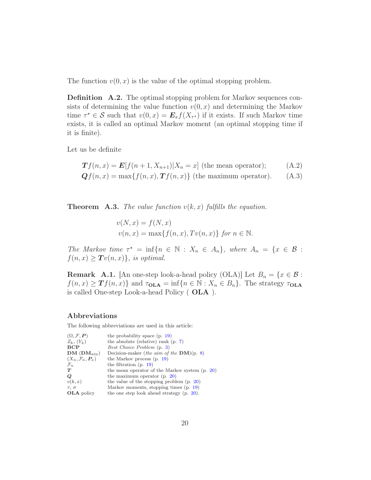<span id="page-19-2"></span>The function  $v(0, x)$  is the value of the optimal stopping problem.

Definition A.2. The optimal stopping problem for Markov sequences consists of determining the value function  $v(0, x)$  and determining the Markov time  $\tau^* \in \mathcal{S}$  such that  $v(0, x) = \mathbf{E}_x f(X_{\tau^*})$  if it exists. If such Markov time exists, it is called an optimal Markov moment (an optimal stopping time if it is finite).

Let us be definite

$$
\mathbf{T}f(n,x) = \mathbf{E}[f(n+1, X_{n+1})|X_n = x]
$$
 (the mean operator); (A.2)

$$
\mathbf{Q}f(n,x) = \max\{f(n,x), \mathbf{T}f(n,x)\} \text{ (the maximum operator).} \tag{A.3}
$$

**Theorem A.3.** The value function  $v(k, x)$  fulfills the equation.

<span id="page-19-1"></span><span id="page-19-0"></span>
$$
v(N, x) = f(N, x)
$$
  

$$
v(n, x) = \max\{f(n, x), Tv(n, x)\} \text{ for } n \in \mathbb{N}.
$$

The Markov time  $\tau^* = \inf\{n \in \mathbb{N} : X_n \in A_n\}$ , where  $A_n = \{x \in \mathcal{B} : X_n = A_n\}$  $f(n, x) \geq Tv(n, x)$ , is optimal.

<span id="page-19-3"></span>**Remark A.1.** [An one-step look-a-head policy (OLA)] Let  $B_n = \{x \in \mathcal{B} :$  $f(n,x) \geq \mathbf{T}f(n,x)$  and  $\tau_{\text{OLA}} = \inf\{n \in \mathbb{N} : X_n \in B_n\}$ . The strategy  $\tau_{\text{OLA}}$ is called One-step Look-a-head Policy ( OLA ).

#### Abbreviations

The following abbreviations are used in this article:

| the probability space $(p. 19)$                     |
|-----------------------------------------------------|
| the absolute (relative) rank $(p, 7)$               |
| Best Choice Problem (p. 3)                          |
| Decision-maker ( <i>the aim of the</i> $DM$ )(p. 8) |
| the Markov process $(p. 19)$                        |
| the filtration $(p. 19)$                            |
| the mean operator of the Markov system $(p. 20)$    |
| the maximum operator $(p. 20)$                      |
| the value of the stopping problem $(p. 20)$         |
| Markov moments, stopping times (p. 19)              |
| the one step look ahead strategy $(p. 20)$ .        |
|                                                     |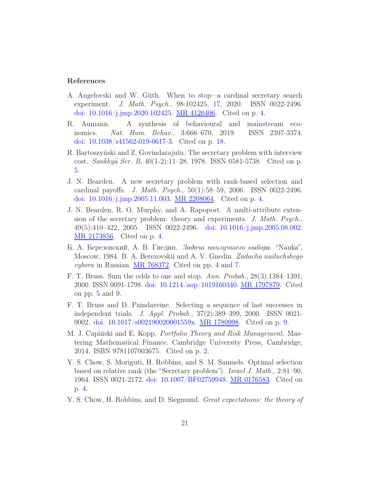### References

- <span id="page-20-4"></span>A. Angelovski and W. Güth. When to stop—a cardinal secretary search experiment. J. Math. Psych., 98:102425, 17, 2020. ISSN 0022-2496. [doi: 10.1016/j.jmp.2020.102425.](http://dx.doi.org/10.1016/j.jmp.2020.102425) [MR 4126406.](http://www.ams.org/mathscinet-getitem?mr=4126406&return=pdf) Cited on p. [4.](#page-3-1)
- <span id="page-20-10"></span>R. Aumann. A synthesis of behavioural and mainstream economics. Nat. Hum. Behav., 3:666–670, 2019. ISSN 2397-3374. [doi: 10.1038/s41562-019-0617-3.](http://dx.doi.org/10.1038/s41562-019-0617-3) Cited on p. [18.](#page-17-1)
- <span id="page-20-7"></span>R. Bartoszyński and Z. Govindarajulu. The secretary problem with interview cost. *Sankhyā Ser. B*,  $40(1-2):11-28$ , 1978. ISSN 0581-5738. Cited on p. [5.](#page-4-2)
- <span id="page-20-1"></span>J. N. Bearden. A new secretary problem with rank-based selection and cardinal payoffs. J. Math. Psych.,  $50(1):58-59$ , 2006. ISSN 0022-2496. [doi: 10.1016/j.jmp.2005.11.003.](http://dx.doi.org/10.1016/j.jmp.2005.11.003) [MR 2208064.](http://www.ams.org/mathscinet-getitem?mr=2208064&return=pdf) Cited on p. [4.](#page-3-1)
- <span id="page-20-2"></span>J. N. Bearden, R. O. Murphy, and A. Rapoport. A multi-attribute extension of the secretary problem: theory and experiments. J. Math. Psych., 49(5):410–422, 2005. ISSN 0022-2496. [doi: 10.1016/j.jmp.2005.08.002.](http://dx.doi.org/10.1016/j.jmp.2005.08.002) [MR 2173856.](http://www.ams.org/mathscinet-getitem?mr=2173856&return=pdf) Cited on p. [4.](#page-3-1)
- <span id="page-20-5"></span>Б. А. Березовский, А. В. Гнедин. Задача наилучшего выбора. "Nauka", Moscow, 1984. B. A. Berezovskiĭ and A. V. Gnedin Zadacha nailuchshego vybora in Russian. [MR 768372.](http://www.ams.org/mathscinet-getitem?mr=768372&return=pdf) Cited on pp. [4](#page-3-1) and [7.](#page-6-2)
- <span id="page-20-6"></span>F. T. Bruss. Sum the odds to one and stop. Ann. Probab., 28(3):1384–1391, 2000. ISSN 0091-1798. [doi: 10.1214/aop/1019160340.](http://dx.doi.org/10.1214/aop/1019160340) [MR 1797879.](http://www.ams.org/mathscinet-getitem?mr=1797879&return=pdf) Cited on pp. [5](#page-4-2) and [9.](#page-8-3)
- <span id="page-20-8"></span>F. T. Bruss and D. Paindaveine. Selecting a sequence of last successes in independent trials. J. Appl. Probab., 37(2):389–399, 2000. ISSN 0021- 9002. [doi: 10.1017/s002190020001559x.](http://dx.doi.org/10.1017/s002190020001559x) [MR 1780998.](http://www.ams.org/mathscinet-getitem?mr=1780998&return=pdf) Cited on p. [9.](#page-8-3)
- <span id="page-20-0"></span>M. J. Capiński and E. Kopp. *Portfolio Theory and Risk Management*. Mastering Mathematical Finance. Cambridge University Press, Cambridge, 2014. ISBN 9781107003675. Cited on p. [2.](#page-1-0)
- <span id="page-20-3"></span>Y. S. Chow, S. Moriguti, H. Robbins, and S. M. Samuels. Optimal selection based on relative rank (the "Secretary problem"). Israel J. Math., 2:81–90, 1964. ISSN 0021-2172. [doi: 10.1007/BF02759948.](http://dx.doi.org/10.1007/BF02759948) [MR 0176583.](http://www.ams.org/mathscinet-getitem?mr=0176583&return=pdf) Cited on p. [4.](#page-3-1)
- <span id="page-20-9"></span>Y. S. Chow, H. Robbins, and D. Siegmund. *Great expectations: the theory of*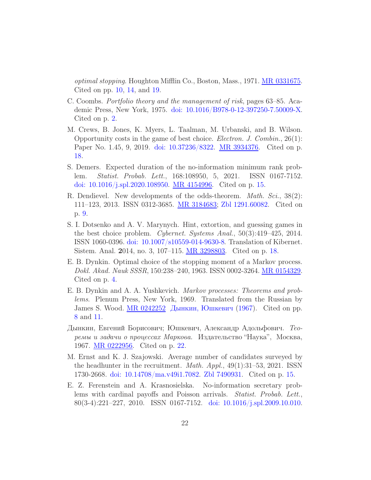<span id="page-21-10"></span>optimal stopping. Houghton Mifflin Co., Boston, Mass., 1971. [MR 0331675.](http://www.ams.org/mathscinet-getitem?mr=0331675&return=pdf) Cited on pp. [10,](#page-9-5) [14,](#page-13-5) and [19.](#page-18-2)

- <span id="page-21-0"></span>C. Coombs. Portfolio theory and the management of risk, pages 63–85. Academic Press, New York, 1975. [doi: 10.1016/B978-0-12-397250-7.50009-X.](http://dx.doi.org/10.1016/B978-0-12-397250-7.50009-X) Cited on p. [2.](#page-1-0)
- <span id="page-21-7"></span>M. Crews, B. Jones, K. Myers, L. Taalman, M. Urbanski, and B. Wilson. Opportunity costs in the game of best choice. Electron. J. Combin., 26(1): Paper No. 1.45, 9, 2019. [doi: 10.37236/8322.](http://dx.doi.org/10.37236/8322) [MR 3934376.](http://www.ams.org/mathscinet-getitem?mr=3934376&return=pdf) Cited on p. [18.](#page-17-1)
- <span id="page-21-5"></span>S. Demers. Expected duration of the no-information minimum rank problem. Statist. Probab. Lett., 168:108950, 5, 2021. ISSN 0167-7152. [doi: 10.1016/j.spl.2020.108950.](http://dx.doi.org/10.1016/j.spl.2020.108950) [MR 4154996.](http://www.ams.org/mathscinet-getitem?mr=4154996&return=pdf) Cited on p. [15.](#page-14-1)
- <span id="page-21-4"></span>R. Dendievel. New developments of the odds-theorem. Math. Sci., 38(2): 111–123, 2013. ISSN 0312-3685. [MR 3184683;](http://www.ams.org/mathscinet-getitem?mr=3184683&return=pdf) [Zbl 1291.60082.](http://www.zentralblatt-math.org/zmath/en/advanced/?q=an:1291.60082&format=complete) Cited on p. [9.](#page-8-3)
- <span id="page-21-8"></span>S. I. Dotsenko and A. V. Marynych. Hint, extortion, and guessing games in the best choice problem. Cybernet. Systems Anal., 50(3):419–425, 2014. ISSN 1060-0396. [doi: 10.1007/s10559-014-9630-8.](http://dx.doi.org/10.1007/s10559-014-9630-8) Translation of Kibernet. Sistem. Anal. 2014, no. 3, 107–115. [MR 3298803.](http://www.ams.org/mathscinet-getitem?mr=3298803&return=pdf) Cited on p. [18.](#page-17-1)
- <span id="page-21-2"></span>E. B. Dynkin. Optimal choice of the stopping moment of a Markov process. Dokl. Akad. Nauk SSSR, 150:238–240, 1963. ISSN 0002-3264. [MR 0154329.](http://www.ams.org/mathscinet-getitem?mr=0154329&return=pdf) Cited on p. [4.](#page-3-1)
- <span id="page-21-3"></span>E. B. Dynkin and A. A. Yushkevich. Markov processes: Theorems and problems. Plenum Press, New York, 1969. Translated from the Russian by James S. Wood. [MR 0242252](http://www.ams.org/mathscinet-getitem?mr=0242252&return=pdf) [Дынкин, Юшкевич](#page-21-9) [\(1967](#page-21-9)). Cited on pp. [8](#page-7-1) and [11.](#page-10-2)
- <span id="page-21-9"></span>Дынкин, Евгений Борисович; Юшкевич, Александр Адольфович. Теоремы и задачи о процессах Маркова. Издательство "Наука", Москва, 1967. [MR 0222956.](http://www.ams.org/mathscinet-getitem?mr=0222956&return=pdf) Cited on p. [22.](#page-21-10)
- <span id="page-21-6"></span>M. Ernst and K. J. Szajowski. Average number of candidates surveyed by the headhunter in the recruitment. *Math. Appl.*,  $49(1):31-53$ , 2021. ISSN 1730-2668. [doi: 10.14708/ma.v49i1.7082.](http://dx.doi.org/10.14708/ma.v49i1.7082) [Zbl 7490931.](http://www.zentralblatt-math.org/zmath/en/advanced/?q=an:7490931&format=complete) Cited on p. [15.](#page-14-1)
- <span id="page-21-1"></span>E. Z. Ferenstein and A. Krasnosielska. No-information secretary problems with cardinal payoffs and Poisson arrivals. Statist. Probab. Lett., 80(3-4):221–227, 2010. ISSN 0167-7152. [doi: 10.1016/j.spl.2009.10.010.](http://dx.doi.org/10.1016/j.spl.2009.10.010)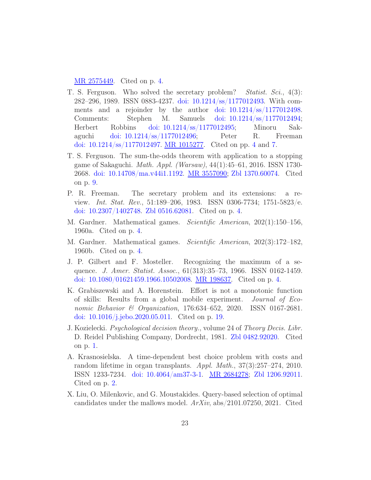[MR 2575449.](http://www.ams.org/mathscinet-getitem?mr=2575449&return=pdf) Cited on p. [4.](#page-3-1)

- <span id="page-22-6"></span>T. S. Ferguson. Who solved the secretary problem? Statist. Sci., 4(3): 282–296, 1989. ISSN 0883-4237. [doi: 10.1214/ss/1177012493.](http://dx.doi.org/10.1214/ss/1177012493) With comments and a rejoinder by the author [doi: 10.1214/ss/1177012498.](http://dx.doi.org/10.1214/ss/1177012498) Comments: Stephen M. Samuels [doi: 10.1214/ss/1177012494;](http://dx.doi.org/10.1214/ss/1177012494) Herbert Robbins [doi: 10.1214/ss/1177012495;](http://dx.doi.org/10.1214/ss/1177012495) Minoru Sakaguchi [doi: 10.1214/ss/1177012496;](http://dx.doi.org/10.1214/ss/1177012496) Peter R. Freeman doi:  $10.1214/\text{ss}/1177012497$  $10.1214/\text{ss}/1177012497$  $10.1214/\text{ss}/1177012497$ . MR  $1015277$ . Cited on pp. 4 and [7.](#page-6-2)
- <span id="page-22-7"></span>T. S. Ferguson. The sum-the-odds theorem with application to a stopping game of Sakaguchi. Math. Appl. (Warsaw), 44(1):45–61, 2016. ISSN 1730- 2668. [doi: 10.14708/ma.v44i1.1192.](http://dx.doi.org/10.14708/ma.v44i1.1192) [MR 3557090;](http://www.ams.org/mathscinet-getitem?mr=3557090&return=pdf) [Zbl 1370.60074.](http://www.zentralblatt-math.org/zmath/en/advanced/?q=an:1370.60074&format=complete) Cited on p. [9.](#page-8-3)
- <span id="page-22-5"></span>P. R. Freeman. The secretary problem and its extensions: a review. Int. Stat. Rev., 51:189–206, 1983. ISSN 0306-7734; 1751-5823/e. [doi: 10.2307/1402748.](http://dx.doi.org/10.2307/1402748) [Zbl 0516.62081.](http://www.zentralblatt-math.org/zmath/en/advanced/?q=an:0516.62081&format=complete) Cited on p. [4.](#page-3-1)
- <span id="page-22-2"></span>M. Gardner. Mathematical games. Scientific American, 202(1):150–156, 1960a. Cited on p. [4.](#page-3-1)
- <span id="page-22-3"></span>M. Gardner. Mathematical games. Scientific American, 202(3):172–182, 1960b. Cited on p. [4.](#page-3-1)
- <span id="page-22-4"></span>J. P. Gilbert and F. Mosteller. Recognizing the maximum of a sequence. J. Amer. Statist. Assoc., 61(313):35–73, 1966. ISSN 0162-1459. [doi: 10.1080/01621459.1966.10502008.](http://dx.doi.org/10.1080/01621459.1966.10502008) [MR 198637.](http://www.ams.org/mathscinet-getitem?mr=198637&return=pdf) Cited on p. [4.](#page-3-1)
- <span id="page-22-9"></span>K. Grabiszewski and A. Horenstein. Effort is not a monotonic function of skills: Results from a global mobile experiment. Journal of Economic Behavior & Organization, 176:634–652, 2020. ISSN 0167-2681. [doi: 10.1016/j.jebo.2020.05.011.](http://dx.doi.org/10.1016/j.jebo.2020.05.011) Cited on p. [19.](#page-18-2)
- <span id="page-22-0"></span>J. Kozielecki. Psychological decision theory., volume 24 of Theory Decis. Libr. D. Reidel Publishing Company, Dordrecht, 1981. [Zbl 0482.92020.](http://www.zentralblatt-math.org/zmath/en/advanced/?q=an:0482.92020&format=complete) Cited on p. [1.](#page-0-1)
- <span id="page-22-1"></span>A. Krasnosielska. A time-dependent best choice problem with costs and random lifetime in organ transplants. Appl. Math., 37(3):257–274, 2010. ISSN 1233-7234. [doi: 10.4064/am37-3-1.](http://dx.doi.org/10.4064/am37-3-1) [MR 2684278;](http://www.ams.org/mathscinet-getitem?mr=2684278&return=pdf) [Zbl 1206.92011.](http://www.zentralblatt-math.org/zmath/en/advanced/?q=an:1206.92011&format=complete) Cited on p. [2.](#page-1-0)
- <span id="page-22-8"></span>X. Liu, O. Milenkovic, and G. Moustakides. Query-based selection of optimal candidates under the mallows model.  $ArXiv$ , abs/2101.07250, 2021. Cited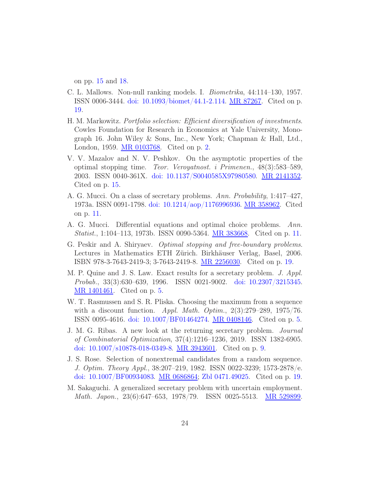on pp. [15](#page-14-1) and [18.](#page-17-1)

- <span id="page-23-7"></span>C. L. Mallows. Non-null ranking models. I. Biometrika, 44:114–130, 1957. ISSN 0006-3444. [doi: 10.1093/biomet/44.1-2.114.](http://dx.doi.org/10.1093/biomet/44.1-2.114) [MR 87267.](http://www.ams.org/mathscinet-getitem?mr=87267&return=pdf) Cited on p. [19.](#page-18-2)
- <span id="page-23-0"></span>H. M. Markowitz. Portfolio selection: Efficient diversification of investments. Cowles Foundation for Research in Economics at Yale University, Monograph 16. John Wiley & Sons, Inc., New York; Chapman & Hall, Ltd., London, 1959. [MR 0103768.](http://www.ams.org/mathscinet-getitem?mr=0103768&return=pdf) Cited on p. [2.](#page-1-0)
- <span id="page-23-6"></span>V. V. Mazalov and N. V. Peshkov. On the asymptotic properties of the optimal stopping time. Teor. Veroyatnost. i Primenen., 48(3):583–589, 2003. ISSN 0040-361X. [doi: 10.1137/S0040585X97980580.](http://dx.doi.org/10.1137/S0040585X97980580) [MR 2141352.](http://www.ams.org/mathscinet-getitem?mr=2141352&return=pdf) Cited on p. [15.](#page-14-1)
- <span id="page-23-5"></span>A. G. Mucci. On a class of secretary problems. Ann. Probability, 1:417–427, 1973a. ISSN 0091-1798. [doi: 10.1214/aop/1176996936.](http://dx.doi.org/10.1214/aop/1176996936) [MR 358962.](http://www.ams.org/mathscinet-getitem?mr=358962&return=pdf) Cited on p. [11.](#page-10-2)
- <span id="page-23-4"></span>A. G. Mucci. Differential equations and optimal choice problems. Ann. Statist., 1:104–113, 1973b. ISSN 0090-5364. [MR 383668.](http://www.ams.org/mathscinet-getitem?mr=383668&return=pdf) Cited on p. [11.](#page-10-2)
- <span id="page-23-10"></span>G. Peskir and A. Shiryaev. Optimal stopping and free-boundary problems. Lectures in Mathematics ETH Zürich. Birkhäuser Verlag, Basel, 2006. ISBN 978-3-7643-2419-3; 3-7643-2419-8. [MR 2256030.](http://www.ams.org/mathscinet-getitem?mr=2256030&return=pdf) Cited on p. [19.](#page-18-2)
- <span id="page-23-1"></span>M. P. Quine and J. S. Law. Exact results for a secretary problem. J. Appl. Probab., 33(3):630–639, 1996. ISSN 0021-9002. [doi: 10.2307/3215345.](http://dx.doi.org/10.2307/3215345) [MR 1401461.](http://www.ams.org/mathscinet-getitem?mr=1401461&return=pdf) Cited on p. [5.](#page-4-2)
- <span id="page-23-2"></span>W. T. Rasmussen and S. R. Pliska. Choosing the maximum from a sequence with a discount function. Appl. Math. Optim.,  $2(3):279-289$ ,  $1975/76$ . ISSN 0095-4616. [doi: 10.1007/BF01464274.](http://dx.doi.org/10.1007/BF01464274) [MR 0408146.](http://www.ams.org/mathscinet-getitem?mr=0408146&return=pdf) Cited on p. [5.](#page-4-2)
- <span id="page-23-3"></span>J. M. G. Ribas. A new look at the returning secretary problem. Journal of Combinatorial Optimization, 37(4):1216–1236, 2019. ISSN 1382-6905. [doi: 10.1007/s10878-018-0349-8.](http://dx.doi.org/10.1007/s10878-018-0349-8) [MR 3943601.](http://www.ams.org/mathscinet-getitem?mr=3943601&return=pdf) Cited on p. [9.](#page-8-3)
- <span id="page-23-9"></span>J. S. Rose. Selection of nonextremal candidates from a random sequence. J. Optim. Theory Appl., 38:207–219, 1982. ISSN 0022-3239; 1573-2878/e. [doi: 10.1007/BF00934083.](http://dx.doi.org/10.1007/BF00934083) [MR 0686864;](http://www.ams.org/mathscinet-getitem?mr=0686864&return=pdf) [Zbl 0471.49025.](http://www.zentralblatt-math.org/zmath/en/advanced/?q=an:0471.49025&format=complete) Cited on p. [19.](#page-18-2)
- <span id="page-23-8"></span>M. Sakaguchi. A generalized secretary problem with uncertain employment. Math. Japon., 23(6):647–653, 1978/79. ISSN 0025-5513. <u>MR 529899</u>.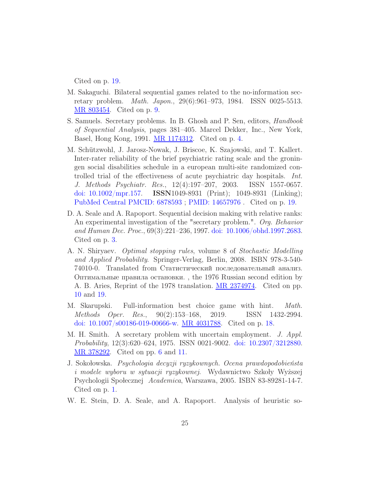Cited on p. [19.](#page-18-2)

- <span id="page-24-4"></span>M. Sakaguchi. Bilateral sequential games related to the no-information secretary problem. Math. Japon., 29(6):961–973, 1984. ISSN 0025-5513. [MR 803454.](http://www.ams.org/mathscinet-getitem?mr=803454&return=pdf) Cited on p. [9.](#page-8-3)
- <span id="page-24-2"></span>S. Samuels. Secretary problems. In B. Ghosh and P. Sen, editors, Handbook of Sequential Analysis, pages 381–405. Marcel Dekker, Inc., New York, Basel, Hong Kong, 1991. [MR 1174312.](http://www.ams.org/mathscinet-getitem?mr=1174312&return=pdf) Cited on p. [4.](#page-3-1)
- <span id="page-24-8"></span>M. Schützwohl, J. Jarosz-Nowak, J. Briscoe, K. Szajowski, and T. Kallert. Inter-rater reliability of the brief psychiatric rating scale and the groningen social disabilities schedule in a european multi-site randomized controlled trial of the effectiveness of acute psychiatric day hospitals. Int. J. Methods Psychiatr. Res., 12(4):197–207, 2003. ISSN 1557-0657. [doi: 10.1002/mpr.157.](http://dx.doi.org/10.1002/mpr.157) ISSN1049-8931 (Print); 1049-8931 (Linking); [PubMed Central PMCID: 6878593](https://www.ncbi.nlm.nih.gov/pmc/articles/6878593/) ; [PMID: 14657976](https://pubmed.ncbi.nlm.nih.gov/14657976/) . Cited on p. [19.](#page-18-2)
- <span id="page-24-1"></span>D. A. Seale and A. Rapoport. Sequential decision making with relative ranks: An experimental investigation of the "secretary problem.". Org. Behavior and Human Dec. Proc., 69(3):221–236, 1997. [doi: 10.1006/obhd.1997.2683.](http://dx.doi.org/10.1006/obhd.1997.2683) Cited on p. [3.](#page-2-0)
- <span id="page-24-5"></span>A. N. Shiryaev. Optimal stopping rules, volume 8 of Stochastic Modelling and Applied Probability. Springer-Verlag, Berlin, 2008. ISBN 978-3-540- 74010-0. Translated from Статистический последовательный анализ. Оптимальные правила остановки. , the 1976 Russian second edition by A. B. Aries, Reprint of the 1978 translation. [MR 2374974.](http://www.ams.org/mathscinet-getitem?mr=2374974&return=pdf) Cited on pp. [10](#page-9-5) and [19.](#page-18-2)
- <span id="page-24-7"></span>M. Skarupski. Full-information best choice game with hint. Math. Methods Oper. Res., 90(2):153–168, 2019. ISSN 1432-2994. [doi: 10.1007/s00186-019-00666-w.](http://dx.doi.org/10.1007/s00186-019-00666-w) [MR 4031788.](http://www.ams.org/mathscinet-getitem?mr=4031788&return=pdf) Cited on p. [18.](#page-17-1)
- <span id="page-24-3"></span>M. H. Smith. A secretary problem with uncertain employment. J. Appl. Probability, 12(3):620–624, 1975. ISSN 0021-9002. [doi: 10.2307/3212880.](http://dx.doi.org/10.2307/3212880) [MR 378292.](http://www.ams.org/mathscinet-getitem?mr=378292&return=pdf) Cited on pp. [6](#page-5-0) and [11.](#page-10-2)
- <span id="page-24-0"></span>J. Sokołowska. Psychologia decyzji ryzykownych. Ocena prawdopodobieństa i modele wyboru w sytuacji ryzykownej. Wydawnictwo Szkoły Wyższej Psychologii Społecznej Academica, Warszawa, 2005. ISBN 83-89281-14-7. Cited on p. [1.](#page-0-1)
- <span id="page-24-6"></span>W. E. Stein, D. A. Seale, and A. Rapoport. Analysis of heuristic so-